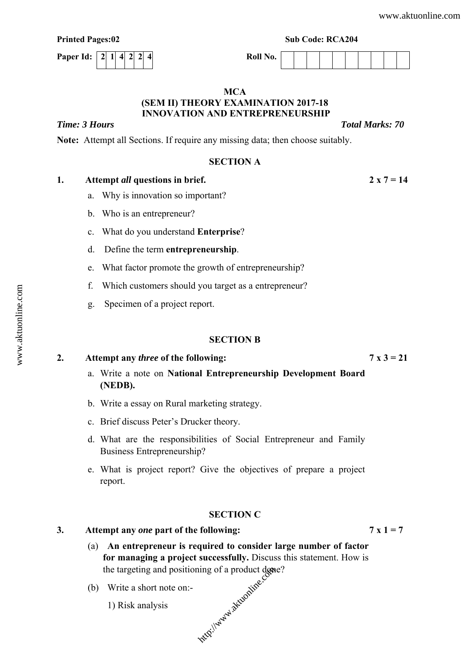| <b>Printed Pages:02</b>      | <b>Sub Code: RCA204</b> |  |  |  |
|------------------------------|-------------------------|--|--|--|
| Paper Id:   2  1  4  2  2  4 | Roll No.                |  |  |  |
|                              |                         |  |  |  |

## **MCA (SEM II) THEORY EXAMINATION 2017-18 INNOVATION AND ENTREPRENEURSHIP**

*Time: 3 Hours Total Marks: 70* 

**Note:** Attempt all Sections. If require any missing data; then choose suitably.

# **SECTION A**

# **1. Attempt** *all* **questions in brief. 2 x 7 = 14**

- a. Why is innovation so important?
- b. Who is an entrepreneur?
- c. What do you understand **Enterprise**?
- d. Define the term **entrepreneurship**.
- e. What factor promote the growth of entrepreneurship?
- f. Which customers should you target as a entrepreneur?
- g. Specimen of a project report.

# **SECTION B**

# 2. Attempt any *three* of the following:  $7 \times 3 = 21$

- a. Write a note on **National Entrepreneurship Development Board (NEDB).**
- b. Write a essay on Rural marketing strategy.
- c. Brief discuss Peter's Drucker theory.
- d. What are the responsibilities of Social Entrepreneur and Family Business Entrepreneurship?
- e. What is project report? Give the objectives of prepare a project report.

# **SECTION C**

## **3. Attempt any** *one* **part of the following: 7 x 1 = 7**

- (a) **An entrepreneur is required to consider large number of factor for managing a project successfully.** Discuss this statement. How is the targeting and positioning of a product done? thtp://www.aktuonline.cc
- (b) Write a short note on:-
	- 1) Risk analysis

www.aktuonline.com [www.aktuonline.com](http://www.aktuonline.com)

|  |  | THURA THEM |
|--|--|------------|
|  |  |            |